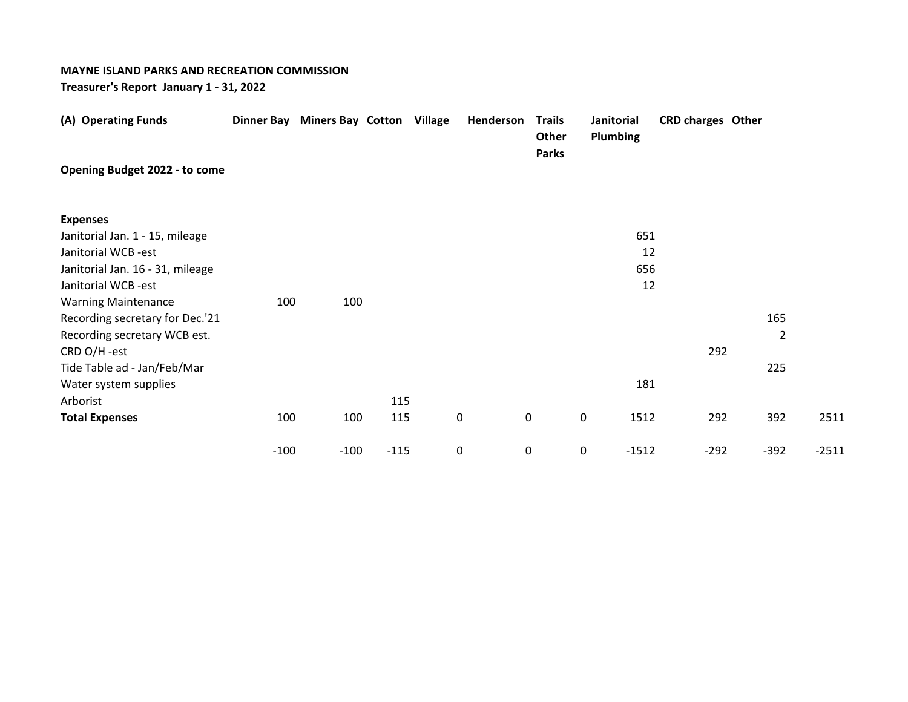## **MAYNE ISLAND PARKS AND RECREATION COMMISSION**

**Treasurer's Report January 1 - 31, 2022**

| (A) Operating Funds              |        | Dinner Bay Miners Bay Cotton Village |        | Henderson | <b>Trails</b><br>Other<br><b>Parks</b> | Janitorial<br>Plumbing | <b>CRD charges Other</b> |        |         |
|----------------------------------|--------|--------------------------------------|--------|-----------|----------------------------------------|------------------------|--------------------------|--------|---------|
| Opening Budget 2022 - to come    |        |                                      |        |           |                                        |                        |                          |        |         |
| <b>Expenses</b>                  |        |                                      |        |           |                                        |                        |                          |        |         |
| Janitorial Jan. 1 - 15, mileage  |        |                                      |        |           |                                        | 651                    |                          |        |         |
| Janitorial WCB -est              |        |                                      |        |           |                                        | 12                     |                          |        |         |
| Janitorial Jan. 16 - 31, mileage |        |                                      |        |           |                                        | 656                    |                          |        |         |
| Janitorial WCB -est              |        |                                      |        |           |                                        | 12                     |                          |        |         |
| <b>Warning Maintenance</b>       | 100    | 100                                  |        |           |                                        |                        |                          |        |         |
| Recording secretary for Dec.'21  |        |                                      |        |           |                                        |                        |                          | 165    |         |
| Recording secretary WCB est.     |        |                                      |        |           |                                        |                        |                          |        | 2       |
| CRD O/H -est                     |        |                                      |        |           |                                        |                        | 292                      |        |         |
| Tide Table ad - Jan/Feb/Mar      |        |                                      |        |           |                                        |                        |                          | 225    |         |
| Water system supplies            |        |                                      |        |           |                                        | 181                    |                          |        |         |
| Arborist                         |        |                                      | 115    |           |                                        |                        |                          |        |         |
| <b>Total Expenses</b>            | 100    | 100                                  | 115    | $\pmb{0}$ | 0                                      | 0<br>1512              | 292                      | 392    | 2511    |
|                                  | $-100$ | $-100$                               | $-115$ | 0         | 0                                      | 0<br>$-1512$           | $-292$                   | $-392$ | $-2511$ |